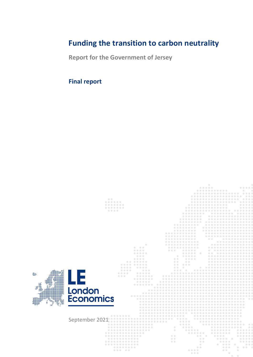# **Funding the transition to carbon neutrality**

**Report for the Government of Jersey**

# **Final report**

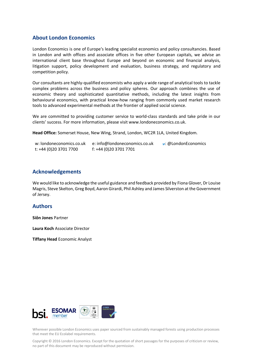## **About London Economics**

London Economics is one of Europe's leading specialist economics and policy consultancies. Based in London and with offices and associate offices in five other European capitals, we advise an international client base throughout Europe and beyond on economic and financial analysis, litigation support, policy development and evaluation, business strategy, and regulatory and competition policy.

Our consultants are highly-qualified economists who apply a wide range of analytical tools to tackle complex problems across the business and policy spheres. Our approach combines the use of economic theory and sophisticated quantitative methods, including the latest insights from behavioural economics, with practical know-how ranging from commonly used market research tools to advanced experimental methods at the frontier of applied social science.

We are committed to providing customer service to world-class standards and take pride in our clients' success. For more information, please visit www.londoneconomics.co.uk.

**Head Office:** Somerset House, New Wing, Strand, London, WC2R 1LA, United Kingdom.

| w: londoneconomics.co.uk | e: info@londoneconomics.co.uk | $\cdot$ : @LondonEconomics |
|--------------------------|-------------------------------|----------------------------|
| t: +44 (0)20 3701 7700   | f: +44 (0)20 3701 7701        |                            |

## **Acknowledgements**

We would like to acknowledge the useful guidance and feedback provided by Fiona Glover, Dr Louise Magris, Steve Skelton, Greg Boyd, Aaron Girardi, Phil Ashley and James Silverston at the Government of Jersey.

## **Authors**

**Siôn Jones** Partner

**Laura Koch** Associate Director

**Tiffany Head** Economic Analyst



Wherever possible London Economics uses paper sourced from sustainably managed forests using production processes that meet the EU Ecolabel requirements.

Copyright © 2016 London Economics. Except for the quotation of short passages for the purposes of criticism or review, no part of this document may be reproduced without permission.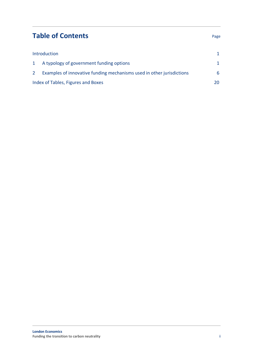# **Table of Contents** Page

| Introduction   |                                                                       |   |
|----------------|-----------------------------------------------------------------------|---|
|                | 1 A typology of government funding options                            |   |
| 2 <sup>2</sup> | Examples of innovative funding mechanisms used in other jurisdictions | 6 |
|                | Index of Tables, Figures and Boxes                                    |   |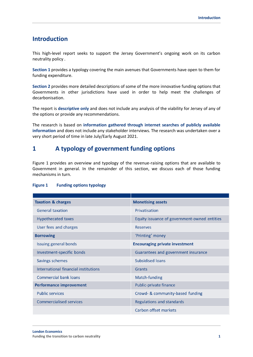## <span id="page-4-0"></span>**Introduction**

This high-level report seeks to support the Jersey Government's ongoing work on its carbon neutrality policy .

**Section 1** provides a typology covering the main avenues that Governments have open to them for funding expenditure.

**Section 2** provides more detailed descriptions of some of the more innovative funding options that Governments in other jurisdictions have used in order to help meet the challenges of decarbonisation.

The report is **descriptive only** and does not include any analysis of the viability for Jersey of any of the options or provide any recommendations.

The research is based on **information gathered through internet searches of publicly available information** and does not include any stakeholder interviews. The research was undertaken over a very short period of time in late July/Early August 2021.

## <span id="page-4-1"></span>**1 A typology of government funding options**

Figure 1 provides an overview and typology of the revenue-raising options that are available to Government in general. In the remainder of this section, we discuss each of those funding mechanisms in turn.

| <b>Taxation &amp; charges</b>        | <b>Monetising assets</b>                     |
|--------------------------------------|----------------------------------------------|
| <b>General taxation</b>              | Privatisation                                |
| <b>Hypothecated taxes</b>            | Equity issuance of government-owned entities |
| User fees and charges                | <b>Reserves</b>                              |
| <b>Borrowing</b>                     | 'Printing' money                             |
| Issuing general bonds                | <b>Encouraging private investment</b>        |
| Investment-specific bonds            | Guarantees and government insurance          |
| Savings schemes                      | <b>Subsidised loans</b>                      |
| International financial institutions | Grants                                       |
| Commercial bank loans                | Match-funding                                |
| <b>Performance improvement</b>       | Public-private finance                       |
| <b>Public services</b>               | Crowd- & community-based funding             |
| <b>Commercialised services</b>       | Regulations and standards                    |
|                                      | Carbon offset markets                        |

#### <span id="page-4-2"></span>**Figure 1 Funding options typology**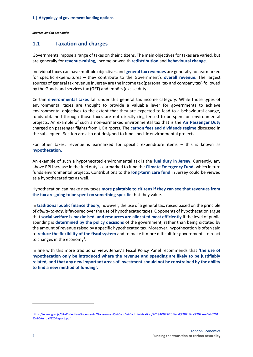*Source: London Economics*

## **1.1 Taxation and charges**

Governments impose a range of taxes on their citizens. The main objectives for taxes are varied, but are generally for **revenue-raising,** income or wealth **redistribution** and **behavioural change.**

Individual taxes can have multiple objectives and **general tax revenues** are generally not earmarked for specific expenditures – they contribute to the Government's **overall revenue.** The largest sources of general tax revenue in Jersey are the income tax (personal tax and company tax) followed by the Goods and services tax (GST) and Impôts (excise duty).

Certain **environmental taxes** fall under this general tax income category. While those types of environmental taxes are thought to provide a valuable lever for governments to achieve environmental objectives to the extent that they are expected to lead to a behavioural change, funds obtained through those taxes are not directly ring-fenced to be spent on environmental projects. An example of such a non-earmarked environmental tax that is the **Air Passenger Duty** charged on passenger flights from UK airports. The **carbon fees and dividends regime** discussed in the subsequent Section are also not designed to fund specific environmental projects.

For other taxes, revenue is earmarked for specific expenditure items – this is known as **hypothecation.**

An example of such a hypothecated environmental tax is the **fuel duty in Jersey.** Currently, any above RPI increase in the fuel duty is earmarked to fund the **Climate Emergency Fund,** which in turn funds environmental projects. Contributions to the **long-term care fund** in Jersey could be viewed as a hypothecated tax as well.

Hypothecation can make new taxes **more palatable to citizens if they can see that revenues from the tax are going to be spent on something specific** that they value.

In **traditional public finance theory,** however, the use of a general tax, raised based on the principle of *ability-to-pay*, is favoured over the use of hypothecated taxes. Opponents of hypothecation argue that **social welfare is maximised, and resources are allocated most efficiently** if the level of public spending is **determined by the policy decisions** of the government, rather than being dictated by the amount of revenue raised by a specific hypothecated tax. Moreover, hypothecation is often said to **reduce the flexibility of the fiscal system** and to make it more difficult for governments to react to changes in the economy<sup>1</sup>.

In line with this more traditional view, Jersey's Fiscal Policy Panel recommends that **'the use of hypothecation only be introduced where the revenue and spending are likely to be justifiably related, and that any new important areas of investment should not be constrained by the ability to find a new method of funding'.**

1

[https://www.gov.je/SiteCollectionDocuments/Government%20and%20administration/20191007%20Fiscal%20Policy%20Panel%20201](https://www.gov.je/SiteCollectionDocuments/Government%20and%20administration/20191007%20Fiscal%20Policy%20Panel%202019%20Annual%20Report.pdf) [9%20Annual%20Report.pdf](https://www.gov.je/SiteCollectionDocuments/Government%20and%20administration/20191007%20Fiscal%20Policy%20Panel%202019%20Annual%20Report.pdf)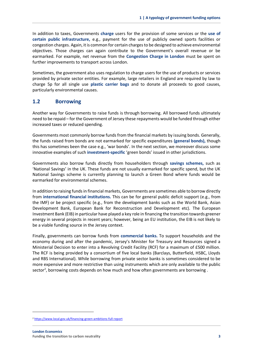In addition to taxes, Governments **charge** users for the provision of some services or the **use of certain public infrastructure,** e.g., payment for the use of publicly owned sports facilities or congestion charges. Again, it is common for certain charges to be designed to achieve environmental objectives. Those charges can again contribute to the Government's overall revenue or be earmarked. For example, net revenue from the **Congestion Charge in London** must be spent on further improvements to transport across London.

Sometimes, the government also uses regulation to charge users for the use of products or services provided by private sector entities. For example, large retailers in England are required by law to charge 5p for all single use **plastic carrier bags** and to donate all proceeds to good causes, particularly environmental causes.

### **1.2 Borrowing**

Another way for Governments to raise funds is through borrowing. All borrowed funds ultimately need to be repaid – for the Government of Jersey these repayments would be funded through either increased taxes or reduced spending.

Governments most commonly borrow funds from the financial markets by issuing bonds. Generally, the funds raised from bonds are not earmarked for specific expenditures **(general bonds),** though this has sometimes been the case e.g., 'war bonds'. In the next section, we moreover discuss some innovative examples of such **investment-specific** 'green bonds' issued in other jurisdictions.

Governments also borrow funds directly from householders through **savings schemes,** such as 'National Savings' in the UK. These funds are not usually earmarked for specific spend, but the UK National Savings scheme is currently planning to launch a Green Bond where funds would be earmarked for environmental schemes.

In addition to raising funds in financial markets, Governments are sometimes able to borrow directly from **international financial institutions.** This can be for general public deficit support (e.g., from the IMF) or be project specific (e.g., from the development banks such as the World Bank, Asian Development Bank, European Bank for Reconstruction and Development etc). The European Investment Bank (EIB) in particular have played a key role in financing the transition towards greener energy in several projects in recent years; however, being an EU institution, the EIB is not likely to be a viable funding source in the Jersey context.

Finally, governments can borrow funds from **commercial banks.** To support households and the economy during and after the pandemic, Jersey's Minister for Treasury and Resources signed a Ministerial Decision to enter into a Revolving Credit Facility (RCF) for a maximum of £500 million. The RCF is being provided by a consortium of five local banks (Barclays, Butterfield, HSBC, Lloyds and RBS International). While borrowing from private sector banks is sometimes considered to be more expensive and more restrictive than using instruments which are only available to the public sector<sup>2</sup>, borrowing costs depends on how much and how often governments are borrowing .

<sup>2</sup> [https://www.local.gov.uk/financing-green-ambitions-full-report](https://www.local.gov.uk/financing-green-ambitions-full-report+&cd=2&hl=en&ct=clnk&gl=uk)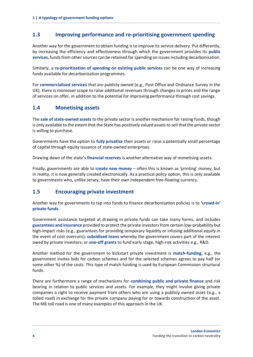## **1.3 Improving performance and re-prioritising government spending**

Another way for the government to obtain funding is to improve its service delivery. Put differently, by increasing the efficiency and effectiveness through which the government provides its **public services,** funds from other sources can be retained for spending on issues including decarbonisation.

Similarly, a **re-prioritisation of spending on existing public services** can be one way of increasing funds available for decarbonisation programmes.

For **commercialised services** that are publicly owned (e.g., Post Office and Ordnance Survey in the UK), there is moreover scope to raise additional revenues through changes in prices and the range of services on offer, in addition to the potential for improving performance through cost savings.

## **1.4 Monetising assets**

The **sale of state-owned assets**to the private sector is another mechanism for raising funds, though is only available to the extent that the State has positively valued assets to sell that the private sector is willing to purchase.

Governments have the option to **fully privatise** their assets or raise a potentially small percentage of capital through equity issuance of state-owned enterprises.

Drawing down of the state's **financial reserves** is another alternative way of monetising assets.

Finally, governments are able to **create new money** – often this is known as 'printing' money, but in reality, it is now generally created electronically. As a practical policy option, this is only available to governments who, unlike Jersey, have their own independent free-floating currency.

## **1.5 Encouraging private investment**

Another way for governments to tap into funds to finance decarbonisation policies is to **'crowd-in' private funds.**

Government assistance targeted at drawing in private funds can take many forms, and includes **guarantees and insurance** provided to protect the private investors from certain low-probability but high-impact risks (e.g., guarantees for providing temporary liquidity or infusing additional equity in the event of cost overruns); **subsidised loans** whereby the government covers part of the interest owed by private investors; or **one-off grants** to fund early stage, high-risk activities e.g., R&D.

Another method for the government to kickstart private investment is **match-funding,** e.g., the government invites bids for carbon schemes and for the selected schemes agrees to pay half (or some other %) of the costs. This type of match-funding is used by European Commission structural funds.

There are furthermore a range of mechanisms for **combining public and private finance** and risk bearing in relation to public services and assets. For example, they might involve giving private companies a right to receive payment from others who are using a publicly owned asset (e.g., a tolled road) in exchange for the private company paying for or towards construction of the asset. The M6 toll road is one of many examples of this approach in the UK.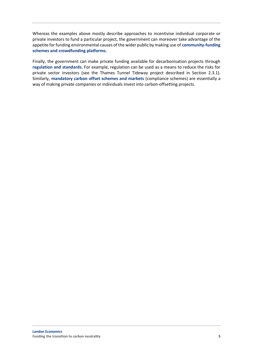Whereas the examples above mostly describe approaches to incentivise individual corporate or private investors to fund a particular project, the government can moreover take advantage of the appetite for funding environmental causes of the wider public by making use of **community-funding schemes and crowdfunding platforms.** 

Finally, the government can make private funding available for decarbonisation projects through **regulation and standards.** For example, regulation can be used as a means to reduce the risks for private sector investors (see the Thames Tunnel Tideway project described in Section [2.3.1\)](#page-16-0). Similarly, **mandatory carbon offset schemes and markets** (compliance schemes) are essentially a way of making private companies or individuals invest into carbon-offsetting projects.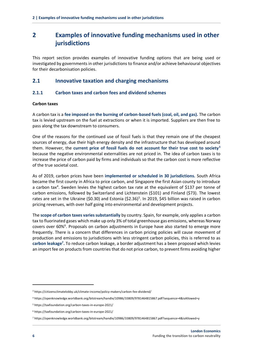## <span id="page-9-0"></span>**2 Examples of innovative funding mechanisms used in other jurisdictions**

This report section provides examples of innovative funding options that are being used or investigated by governments in other jurisdictions to finance and/or achieve behavioural objectives for their decarbonisation policies.

## **2.1 Innovative taxation and charging mechanisms**

#### **2.1.1 Carbon taxes and carbon fees and dividend schemes**

#### **Carbon taxes**

A carbon tax is a **fee imposed on the burning of carbon-based fuels (coal, oil, and gas).** The carbon tax is levied upstream on the fuel at extractions or when it is imported. Suppliers are then free to pass along the tax downstream to consumers.

One of the reasons for the continued use of fossil fuels is that they remain one of the cheapest sources of energy, due their high energy density and the infrastructure that has developed around them. However, the **current price of fossil fuels do not account for their true cost to society<sup>3</sup>** because the negative environmental externalities are not priced in. The idea of carbon taxes is to increase the price of carbon paid by firms and individuals so that the carbon cost is more reflective of the true societal cost.

As of 2019, carbon prices have been **implemented or scheduled in 30 jurisdictions.** South Africa became the first county in Africa to price carbon, and Singapore the first Asian county to introduce a carbon tax<sup>4</sup>. Sweden levies the highest carbon tax rate at the equivalent of \$137 per tonne of carbon emissions, followed by Switzerland and Lichtenstein (\$101) and Finland (\$73). The lowest rates are set in the Ukraine (\$0.30) and Estonia (\$2.36)<sup>5</sup>. In 2019, \$45 billion was raised in carbon pricing revenues, with over half going into environmental and development projects.

The **scope of carbon taxes varies substantially** by country. Spain, for example, only applies a carbon tax to fluorinated gases which make up only 3% of total greenhouse gas emissions, whereas Norway covers over 60%<sup>6</sup>. Proposals on carbon adjustments in Europe have also started to emerge more frequently. There is a concern that differences in carbon pricing policies will cause movement of production and emissions to jurisdictions with less stringent carbon policies, this is referred to as **carbon leakage<sup>7</sup> .** To reduce carbon leakage, a border adjustment has a been proposed which levies an import fee on products from countries that do not price carbon, to prevent firms avoiding higher

<sup>3</sup> https://citizensclimatelobby.uk/climate-income/policy-makers/carbon-fee-dividend/

<sup>4</sup> https://openknowledge.worldbank.org/bitstream/handle/10986/33809/9781464815867.pdf?sequence=4&isAllowed=y

<sup>5</sup> https://taxfoundation.org/carbon-taxes-in-europe-2021/

<sup>6</sup> https://taxfoundation.org/carbon-taxes-in-europe-2021/

<sup>7</sup> https://openknowledge.worldbank.org/bitstream/handle/10986/33809/9781464815867.pdf?sequence=4&isAllowed=y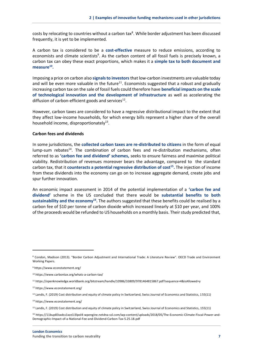costs by relocating to countries without a carbon tax<sup>8</sup>. While border adjustment has been discussed frequently, it is yet to be implemented.

A carbon tax is considered to be a **cost-effective** measure to reduce emissions, according to economists and climate scientists<sup>9</sup>. As the carbon content of all fossil fuels is precisely known, a carbon tax can obey these exact proportions, which makes it a **simple tax to both document and measure<sup>10</sup> .**

Imposing a price on carbon also **signals to investors** that low-carbon investments are valuable today and will be even more valuable in the future $11$ . Economists suggested that a robust and gradually increasing carbon tax on the sale of fossil fuels could therefore have **beneficial impacts on the scale of technological innovation and the development of infrastructure** as well as accelerating the diffusion of carbon-efficient goods and services<sup>12</sup>.

However, carbon taxes are considered to have a regressive distributional impact to the extent that they affect low-income households, for which energy bills represent a higher share of the overall household income, disproportionately<sup>13</sup>.

#### **Carbon fees and dividends**

In some jurisdictions, the **collected carbon taxes are re-distributed to citizens** in the form of equal lump-sum rebates<sup>14</sup>. The combination of carbon fees and re-distribution mechanisms, often referred to as **'carbon fee and dividend' schemes,** seeks to ensure fairness and maximise political viability. Redistribution of revenues moreover bears the advantage, compared to the standard carbon tax, that it **counteracts a potential regressive distribution of cost<sup>15</sup> .** The injection of income from these dividends into the economy can go on to increase aggregate demand, create jobs and spur further innovation.

An economic impact assessment in 2014 of the potential implementation of a **'carbon fee and dividend'** scheme in the US concluded that there would be **substantial benefits to both sustainability and the economy<sup>16</sup> .** The authors suggested that these benefits could be realised by a carbon fee of \$10 per tonne of carbon dioxide which increased linearly at \$10 per year, and 100% of the proceeds would be refunded to US households on a monthly basis. Their study predicted that,

<sup>8</sup> Condon, Madison (2013). "Border Carbon Adjustment and International Trade: A Literature Review". OECD Trade and Environment Working Papers.

<sup>9</sup> https://www.econstatement.org/

<sup>10</sup> https://www.carbontax.org/whats-a-carbon-tax/

<sup>11</sup> https://openknowledge.worldbank.org/bitstream/handle/10986/33809/9781464815867.pdf?sequence=4&isAllowed=y

<sup>12</sup> https://www.econstatement.org/

<sup>13</sup> Landis, F. (2019) Cost distribution and equity of climate policy in Switzerland, Swiss Journal of Economics and Statistics, 155(11)

<sup>14</sup> https://www.econstatement.org/

<sup>&</sup>lt;sup>15</sup> Landis, F. (2019) Cost distribution and equity of climate policy in Switzerland, Swiss Journal of Economics and Statistics, 155(11)

<sup>16</sup> https://11bup83sxdss1xze1i3lpol4-wpengine.netdna-ssl.com/wp-content/uploads/2018/05/The-Economic-Climate-Fiscal-Power-and-Demographic-Impact-of-a-National-Fee-and-Dividend-Carbon-Tax-5.25.18.pdf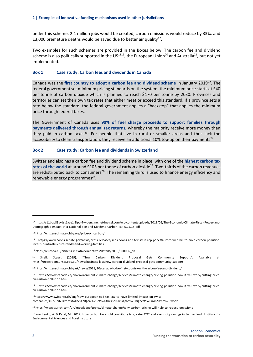under this scheme, 2.1 million jobs would be created, carbon emissions would reduce by 33%, and 13,000 premature deaths would be saved due to better air quality $17$ .

Two examples for such schemes are provided in the Boxes below. The carbon fee and dividend scheme is also politically supported in the US<sup>1819</sup>, the European Union<sup>20</sup> and Australia<sup>21</sup>, but not yet implemented.

#### <span id="page-11-0"></span>**Box 1 Case study: Carbon fees and dividends in Canada**

Canada was the first country to adopt a carbon fee and dividend scheme in January 2019<sup>22</sup>. The federal government set minimum pricing standards on the system; the minimum price starts at \$40 per tonne of carbon dioxide which is planned to reach \$170 per tonne by 2030. Provinces and territories can set their own tax rates that either meet or exceed this standard. If a province sets a rate below the standard, the federal government applies a "backstop" that applies the minimum price through federal taxes.

The Government of Canada uses **90% of fuel charge proceeds to support families through payments delivered through annual tax returns,** whereby the majority receive more money than they paid in carbon taxes<sup>23</sup>. For people that live in rural or smaller areas and thus lack the accessibility to clean transportation, they receive an additional 10% top-up on their payments<sup>24</sup>.

#### <span id="page-11-1"></span>**Box 2 Case study: Carbon fee and dividends in Switzerland**

Switzerland also has a carbon fee and dividend scheme in place, with one of the **highest carbon tax**  rates of the world at around \$105 per tonne of carbon dioxide<sup>25</sup>. Two-thirds of the carbon revenues are redistributed back to consumers<sup>26</sup>. The remaining third is used to finance energy efficiency and renewable energy programmes<sup>27</sup>.

<sup>25</sup>https://www.swissinfo.ch/eng/new-european-co2-tax-law-to-have-limited-impact-on-swisscompanies/46778960#:~:text=The%20goal%20of%20the%20Swiss,the%20highest%20in%20the%20world.

<sup>26</sup> https://www.zurich.com/en/knowledge/topics/climate-change/why-carbon-pricing-will-help-to-reduce-emissions

<sup>27</sup> Yuschenko, A. & Patel, M. (2017) How carbon tax could contribute to greater CO2 and electricity savings in Switzerland, Institute for Environmental Sciences and Forel Institute

<sup>17</sup> https://11bup83sxdss1xze1i3lpol4-wpengine.netdna-ssl.com/wp-content/uploads/2018/05/The-Economic-Climate-Fiscal-Power-and-Demographic-Impact-of-a-National-Fee-and-Dividend-Carbon-Tax-5.25.18.pdf

<sup>18</sup> https://citizensclimatelobby.org/price-on-carbon/

<sup>19</sup> https://www.coons.senate.gov/news/press-releases/sens-coons-and-feinstein-rep-panetta-introduce-bill-to-price-carbon-pollutioninvest-in-infrastructure-randd-and-working-families

<sup>20</sup> https://europa.eu/citizens-initiative/initiatives/details/2019/000006\_en

<sup>&</sup>lt;sup>21</sup> Snell, Stuart (2019). "New Carbon Dividend Proposal Gets Community Support". Available at: https://newsroom.unsw.edu.au/news/business-law/new-carbon-dividend-proposal-gets-community-support

<sup>22</sup> https://citizensclimatelobby.uk/news/2018/10/canada-to-be-first-country-with-carbon-fee-and-dividend/

<sup>&</sup>lt;sup>23</sup> https://www.canada.ca/en/environment-climate-change/services/climate-change/pricing-pollution-how-it-will-work/putting-priceon-carbon-pollution.html

<sup>24</sup> https://www.canada.ca/en/environment-climate-change/services/climate-change/pricing-pollution-how-it-will-work/putting-priceon-carbon-pollution.html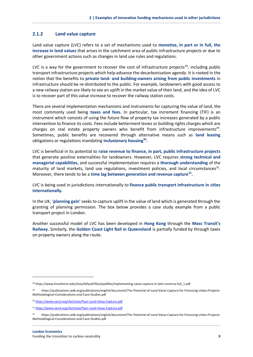#### **2.1.2 Land value capture**

Land value capture (LVC) refers to a set of mechanisms used to **monetise, in part or in full, the increase in land values** that arises in the catchment area of public infrastructure projects or due to other government actions such as changes in land use rules and regulations.

LVC is a way for the government to recover the cost of infrastructure projects<sup>28</sup>, including public transport infrastructure projects which help advance the decarbonisation agenda. It is rooted in the notion that the benefits to **private land- and building-owners arising from public investments** in infrastructure should be re-distributed to the public. For example, landowners with good access to a new railway station are likely to see an uplift in the market value of their land, and the idea of LVC is to recover part of this value increase to recover the railway station costs.

There are several implementation mechanisms and instruments for capturing the value of land, the most commonly used being **taxes and fees.** In particular, tax increment financing (TIF) is an instrument which consists of using the future flow of property tax increases generated by a public intervention to finance its costs. Fees include betterment levies or building rights charges which are charges on real estate property owners who benefit from infrastructure improvements<sup>29</sup>. Sometimes, public benefits are recovered through alternative means such as **land leasing** obligations or regulations mandating **inclusionary housing<sup>30</sup> .**

LVC is beneficial in its potential to **raise revenue to finance, in part, public infrastructure projects** that generate positive externalities for landowners. However, LVC requires **strong technical and managerial capabilities,** and successful implementation requires a **thorough understanding** of the maturity of land markets, land use regulations, investment policies, and local circumstances<sup>31</sup>. Moreover, there tends to be a **time lag between generation and revenue capture<sup>32</sup> .**

LVC is being used in jurisdictions internationally to **finance public transport infrastructure in cities internationally.** 

In the UK, '**planning gain'** seeks to capture uplift in the value of land which is generated through the granting of planning permission. The box below provides a case study example from a public transport project in London.

Another successful model of LVC has been developed in **Hong Kong** through the **Mass Transit's Railway.** Similarly, the **Golden Coast Light Rail in Queensland** is partially funded by through taxes on property owners along the route.

<sup>28</sup> https://www.lincolninst.edu/sites/default/files/pubfiles/implementing-value-capture-in-latin-america-full\_1.pdf

<sup>29</sup> https://publications.iadb.org/publications/english/document/The-Potential-of-Land-Value-Capture-for-Financing-Urban-Projects-Methodological-Considerations-and-Case-Studies.pdf

<sup>30</sup> <https://www.oecd.org/cfe/cities/Flyer-Land-Value-Capture.pdf>

<sup>31</sup> <https://www.oecd.org/cfe/cities/Flyer-Land-Value-Capture.pdf>

<sup>32</sup> https://publications.iadb.org/publications/english/document/The-Potential-of-Land-Value-Capture-for-Financing-Urban-Projects-Methodological-Considerations-and-Case-Studies.pdf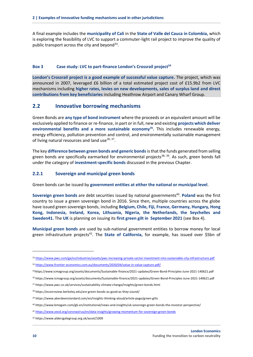A final example includes the **municipality of Cali** in the **State of Valle del Cauca in Colombia,** which is exploring the feasibility of LVC to support a commuter-light rail project to improve the quality of public transport across the city and beyond<sup>33</sup>.

#### <span id="page-13-0"></span>**Box 3 Case study: LVC to part-finance London's Crossrail project<sup>34</sup>**

**London's Crossrail project is a good example of successful value capture.** The project, which was announced in 2007, leveraged £6 billion of a total estimated project cost of £15.9b2 from LVC mechanisms including **higher rates, levies on new developments, sales of surplus land and direct contributions from key beneficiaries** including Heathrow Airport and Canary Wharf Group.

#### **2.2 Innovative borrowing mechanisms**

Green Bonds are **any type of bond instrument** where the proceeds or an equivalent amount will be exclusively applied to finance or re-finance, in part or in full, new and existing **projects which deliver environmental benefits and a more sustainable economy<sup>35</sup> .** This includes renewable energy, energy efficiency, pollution prevention and control, and environmentally sustainable management of living natural resources and land use<sup>36, 37</sup>.

The key **difference between green bonds and generic bonds** is that the funds generated from selling green bonds are specifically earmarked for environmental projects<sup>38, 39</sup>. As such, green bonds fall under the category of **investment-specific bonds** discussed in the previous Chapter.

#### **2.2.1 Sovereign and municipal green bonds**

Green bonds can be issued by **government entities at either the national or municipal level**.

**Sovereign green bonds** are debt securities issued by national governments<sup>40</sup>. Poland was the first country to issue a green sovereign bond in 2016. Since then, multiple countries across the globe have issued green sovereign bonds, including **Belgium, Chile, Fiji, France, Germany, Hungary, Hong Kong, Indonesia, Ireland, Korea, Lithuania, Nigeria, the Netherlands, the Seychelles and Sweden41.** The **UK** is planning on issuing its **first green gilt in September 2021** (see [Box 4\)](#page-14-0).

**Municipal green bonds** are used by sub-national government entities to borrow money for local green infrastructure projects<sup>42</sup>. The State of California, for example, has issued over \$5bn of

- <sup>35</sup>https://www.icmagroup.org/assets/documents/Sustainable-finance/2021-updates/Green-Bond-Principles-June-2021-140621.pdf
- <sup>36</sup> https://www.icmagroup.org/assets/documents/Sustainable-finance/2021-updates/Green-Bond-Principles-June-2021-140621.pdf
- <sup>37</sup> https://www.pwc.co.uk/services/sustainability-climate-change/insights/green-bonds.html

<sup>33</sup> <https://www.pwc.com/gx/en/industries/assets/pwc-increasing-private-sector-investment-into-sustainable-city-infrastructure.pdf>

<sup>34</sup> <https://www.frontier-economics.com.au/documents/2020/04/value-in-value-capture.pdf/>

<sup>38</sup> https://econreview.berkeley.edu/are-green-bonds-as-good-as-they-sound/

<sup>39</sup> https://www.aberdeenstandard.com/en/insights-thinking-aloud/article-page/green-gilts

<sup>40</sup> https://www.bmogam.com/gb-en/institutional/news-and-insights/uk-sovereign-green-bonds-the-investor-perspective/

<sup>41</sup> <https://www.oecd.org/coronavirus/en/data-insights/growing-momentum-for-sovereign-green-bonds>

<sup>42</sup> https://www.aldersgategroup.org.uk/asset/1009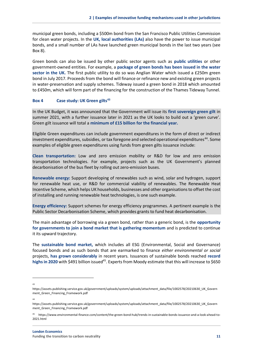municipal green bonds, including a \$500m bond from the San Francisco Public Utilities Commission for clean water projects. In the **UK, local authorities (LAs)** also have the power to issue municipal bonds, and a small number of LAs have launched green municipal bonds in the last two years (see Box 8).

Green bonds can also be issued by other public sector agents such as **public utilities** or other government-owned entities. For example, a **package of green bonds has been issued in the water sector in the UK.** The first public utility to do so was Anglian Water which issued a £250m green bond in July 2017. Proceeds from the bond will finance or refinance new and existing green projects in water-preservation and supply schemes. Tideway issued a green bond in 2018 which amounted to £450m, which will form part of the financing for the construction of the Thames Tideway Tunnel.

#### <span id="page-14-0"></span>**Box 4 Case study: UK Green gilts<sup>43</sup>**

In the UK Budget, it was announced that the Government will issue its **first sovereign green gilt** in summer 2021, with a further issuance later in 2021 as the UK looks to build out a 'green curve'. Green gilt issuance will total a **minimum of £15 billion for the financial year.** 

Eligible Green expenditures can include government expenditures in the form of direct or indirect investment expenditures, subsidies, or tax foregone and selected operational expenditures<sup>44</sup>. Some examples of eligible green expenditures using funds from green gilts issuance include:

**Clean transportation:** Low and zero emission mobility or R&D for low and zero emission transportation technologies. For example, projects such as the UK Government's planned decarbonisation of the bus fleet by rolling out zero-emission buses.

**Renewable energy:** Support developing of renewables such as wind, solar and hydrogen, support for renewable heat use, or R&D for commercial viability of renewables. The Renewable Heat Incentive Scheme, which helps UK households, businesses and other organisations to offset the cost of installing and running renewable heat technologies, is one such example.

**Energy efficiency:** Support schemes for energy efficiency programmes. A pertinent example is the Public Sector Decarbonisation Scheme, which provides grants to fund heat decarbonisation.

The main advantage of borrowing via a green bond, rather than a generic bond, is the **opportunity for governments to join a bond market that is gathering momentum** and is predicted to continue it its upward trajectory.

The **sustainable bond market,** which includes all ESG (Environmental, Social and Governance) focused bonds and as such bonds that are earmarked to finance *either environmental or social* projects, **has grown considerably** in recent years. Issuances of sustainable bonds reached **record**  highs in 2020 with \$491 billion issued<sup>45</sup>. Experts from Moody estimate that this will increase to \$650

44

 $43$ 

https://assets.publishing.service.gov.uk/government/uploads/system/uploads/attachment\_data/file/1002578/20210630\_UK\_Govern ment\_Green\_Financing\_Framework.pdf

https://assets.publishing.service.gov.uk/government/uploads/system/uploads/attachment\_data/file/1002578/20210630\_UK\_Govern ment\_Green\_Financing\_Framework.pdf

<sup>45</sup> https://www.environmental-finance.com/content/the-green-bond-hub/trends-in-sustainable-bonds-issuance-and-a-look-ahead-to-2021.html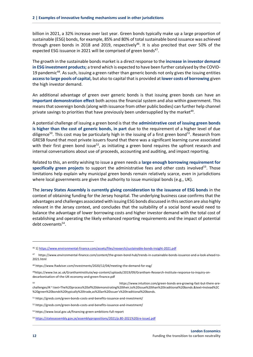billion in 2021, a 32% increase over last year. Green bonds typically make up a large proportion of sustainable (ESG) bonds, for example, 85% and 80% of total sustainable bond issuance was achieved through green bonds in 2018 and 2019, respectively<sup>46</sup>. It is also precited that over 50% of the expected ESG issuance in 2021 will be comprised of green bonds<sup>47</sup>.

The growth in the sustainable bonds market is a direct response to the **increase in investor demand in ESG investment products;** a trend which is expected to have been further catalysed by the COVID-19 pandemic<sup>48</sup>. As such, issuing a green rather than generic bonds not only gives the issuing entities **access to large pools of capital,** but also to capital that is provided at **lower costs of borrowing** given the high investor demand.

An additional advantage of green over generic bonds is that issuing green bonds can have an **important demonstration effect** both across the financial system and also within government. This means that sovereign bonds (along with issuance from other public bodies) can further help channel private savings to priorities that have previously been undersupplied by the market<sup>49</sup>.

A potential challenge of issuing a green bond is that the **administrative cost of issuing green bonds is higher than the cost of generic bonds, in part** due to the requirement of a higher level of due diligence<sup>50</sup>. This cost may be particularly high in the issuing of a first green bond<sup>51</sup>. Research from GRESB found that most private issuers found that there was a significant learning curve associated with their first green bond issue<sup>52</sup>, as initiating a green bond requires the upfront research and internal conversations about use of proceeds, accounting and auditing, and impact reporting.

Related to this, an entity wishing to issue a green needs a **large enough borrowing requirement for**  specifically green projects to support the administrative fees and other costs involved<sup>53</sup>. Those limitations help explain why municipal green bonds remain relatively scarce, even in jurisdictions where local governments are given the authority to issue municipal bonds (e.g., UK).

The **Jersey States Assembly is currently giving consideration to the issuance of ESG bonds** in the context of obtaining funding for the Jersey hospital. The underlying business case confirms that the advantages and challenges associated with issuing ESG bonds discussed in this section are also highly relevant in the Jersey context, and concludes that the suitability of a social bond would need to balance the advantage of lower borrowing costs and higher investor demand with the total cost of establishing and operating the likely enhanced reporting requirements and the impact of potential debt covenants<sup>54</sup>.

<sup>46</sup> 1[\] https://www.environmental-finance.com/assets/files/research/sustainable-bonds-insight-2021.pdf](https://www.environmental-finance.com/assets/files/research/sustainable-bonds-insight-2021.pdf)

<sup>47</sup> https://www.environmental-finance.com/content/the-green-bond-hub/trends-in-sustainable-bonds-issuance-and-a-look-ahead-to-2021.html

<sup>48</sup> https://www.ftadviser.com/investments/2020/12/04/meeting-the-demand-for-esg/

<sup>49</sup>https://www.lse.ac.uk/GranthamInstitute/wp-content/uploads/2019/09/Grantham-Research-Institute-response-to-inquiry-ondecarbonisation-of-the-UK-economy-and-green-finance.pdf

<sup>50</sup> https://www.intuition.com/green-bonds-are-growing-fast-but-there-arechallenges/#:~:text=The%20process%20of%20demonstrating%20their,to%20issue%20than%20traditional%20bonds.&text=Instead%2C %20green%20bonds%20typically%20trade,as%20an%20issuer's%20traditional%20bonds.

<sup>51</sup> https://gresb.com/green-bonds-costs-and-benefits-issuance-and-investment/

<sup>52</sup> https://gresb.com/green-bonds-costs-and-benefits-issuance-and-investment/

<sup>53</sup> https://www.local.gov.uk/financing-green-ambitions-full-report

<sup>54</sup> [https://statesassembly.gov.je/assemblypropositions/2021/p.80-2021%20\(re-issue\).pdf](https://statesassembly.gov.je/assemblypropositions/2021/p.80-2021%20(re-issue).pdf)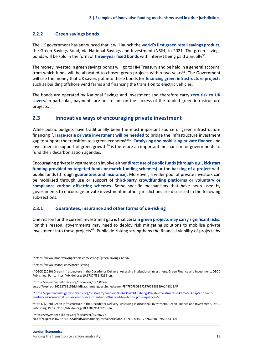#### **2.2.2 Green savings bonds**

The UK government has announced that it will launch the **world's first green retail savings product,** the Green Savings Bond, via National Savings and Investment (NS&I) in 2021. The green savings bonds will be sold in the form of three-year fixed bonds with interest being paid annually<sup>55</sup>.

The money invested in green savings bonds will go to HM Treasury and be held in a general account, from which funds will be allocated to chosen green projects within two years<sup>56</sup>. The Government will use the money that UK savers put into these bonds for **financing green infrastructure projects** such as building offshore wind farms and financing the transition to electric vehicles.

The bonds are operated by National Savings and Investment and therefore carry **zero risk to UK savers.** In particular, payments are not reliant on the success of the funded green infrastructure projects.

### **2.3 Innovative ways of encouraging private investment**

While public budgets have traditionally been the most important source of green infrastructure financing<sup>57</sup> , **large-scale private investment will be needed** to bridge the infrastructure investment gap to support the transition to a green economy<sup>5859</sup>. **Catalysing and mobilising private finance** and investment in support of green growth<sup>60</sup> is therefore an important mechanism for governments to fund their decarbonisation agendas.

Encouraging private investment can involve either **direct use of public funds(through e.g., kickstart funding provided by targeted funds or match-funding schemes)** or the **backing of a project** with public funds (through **guarantees and insurance)**. Moreover, a wider pool of private investors can be mobilised through use or support of **third-party crowdfunding platforms or voluntary or compliance carbon offsetting schemes.** Some specific mechanisms that have been used by governments to encourage private investment in other jurisdictions are discussed in the following sub-sections.

#### <span id="page-16-0"></span>**2.3.1 Guarantees, insurance and other forms of de-risking**

One reason for the current investment gap is that **certain green projects may carry significant risks.**  For this reason, governments may need to deploy risk mitigating solutions to mobilise private investment into these projects<sup>61</sup>. Public de-risking strengthens the financial viability of projects by

58https://www.oecd-ilibrary.org/docserver/357c027e-

en.pdf?expires=1626276315&id=id&accname=guest&checksum=FE47F0F8DB9F2876C8383E9A14B311AF

61https://www.oecd-ilibrary.org/docserver/357c027een.pdf?expires=1626276315&id=id&accname=guest&checksum=FE47F0F8DB9F2876C8383E9A14B311AF

<sup>55</sup> https://www.moneysavingexpert.com/savings/green-savings-bond/

<sup>56</sup> https://www.nsandi.com/green-saving

<sup>57</sup> OECD (2020) Green Infrastructure in the Decade for Delivery: Assessing Institutional Investment, Green Finance and Investment, OECD Publishing, Paris, https://dx.doi.org/10.1787/f51f9256-en.

<sup>59</sup>[https://openknowledge.worldbank.org/bitstream/handle/10986/35203/Enabling-Private-Investment-in-Climate-Adaptation-and-](https://openknowledge.worldbank.org/bitstream/handle/10986/35203/Enabling-Private-Investment-in-Climate-Adaptation-and-Resilience-Current-Status-Barriers-to-Investment-and-Blueprint-for-Action.pdf?sequence=5)[Resilience-Current-Status-Barriers-to-Investment-and-Blueprint-for-Action.pdf?sequence=5.](https://openknowledge.worldbank.org/bitstream/handle/10986/35203/Enabling-Private-Investment-in-Climate-Adaptation-and-Resilience-Current-Status-Barriers-to-Investment-and-Blueprint-for-Action.pdf?sequence=5) 

<sup>60</sup> OECD (2020) Green Infrastructure in the Decade for Delivery: Assessing Institutional Investment, Green Finance and Investment, OECD Publishing, Paris, https://dx.doi.org/10.1787/f51f9256-en.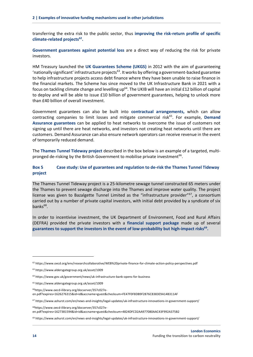transferring the extra risk to the public sector, thus **improving the risk-return profile of specific climate-related projects<sup>62</sup> .**

**Government guarantees against potential loss** are a direct way of reducing the risk for private investors.

HM Treasury launched the **UK Guarantees Scheme (UKGS)** in 2012 with the aim of guaranteeing 'nationally significant' infrastructure projects<sup>63</sup>. It works by offering a government-backed guarantee to help infrastructure projects access debt finance where they have been unable to raise finance in the financial markets. The Scheme has since moved to the UK Infrastructure Bank in 2021 with a focus on tackling climate change and levelling up<sup>64</sup>. The UKIB will have an initial £12 billion of capital to deploy and will be able to issue £10 billion of government guarantees, helping to unlock more than £40 billion of overall investment.

Government guarantees can also be built into **contractual arrangements,** which can allow contracting companies to limit losses and mitigate commercial risk<sup>65</sup>. For example, **Demand Assurance guarantees** can be applied to heat networks to overcome the issue of customers not signing up until there are heat networks, and investors not creating heat networks until there are customers. Demand Assurance can also ensure network operators can receive revenue in the event of temporarily reduced demand.

The **Thames Tunnel Tideway project** described in the box below is an example of a targeted, multipronged de-risking by the British Government to mobilise private investment<sup>66</sup>.

#### <span id="page-17-0"></span>**Box 5 Case study: Use of guarantees and regulation to de-risk the Thames Tunnel Tideway project**

The Thames Tunnel Tideway project is a 25-kilometre sewage tunnel constructed 65 meters under the Thames to prevent sewage discharge into the Thames and improve water quality. The project license was given to Bazalgette Tunnel Limited as the "infrastructure provider" $67$ , a consortium carried out by a number of private capital investors, with initial debt provided by a syndicate of six banks<sup>68</sup>.

In order to incentivise investment, the UK Department of Environment, Food and Rural Affairs (DEFRA) provided the private investors with a **financial support package** made up of several **guarantees to support the investors in the event of low-probability but high-impact risks<sup>69</sup> .**

68https://www.oecd-ilibrary.org/docserver/357c027een.pdf?expires=1627381594&id=id&accname=guest&checksum=4824DFCD2AA977080AAC43F992A375B2

<sup>69</sup> https://www.ashurst.com/en/news-and-insights/legal-updates/uk-infrastructure-innovations-in-government-support/

<sup>62</sup> https://www.oecd.org/env/researchcollaborative/WEB%20private-finance-for-climate-action-policy-perspectives.pdf

<sup>63</sup> https://www.aldersgategroup.org.uk/asset/1009

<sup>64</sup> https://www.gov.uk/government/news/uk-infrastructure-bank-opens-for-business

<sup>65</sup> https://www.aldersgategroup.org.uk/asset/1009

<sup>66</sup>https://www.oecd-ilibrary.org/docserver/357c027e-

en.pdf?expires=1626276315&id=id&accname=guest&checksum=FE47F0F8DB9F2876C8383E9A14B311AF

<sup>67</sup> https://www.ashurst.com/en/news-and-insights/legal-updates/uk-infrastructure-innovations-in-government-support/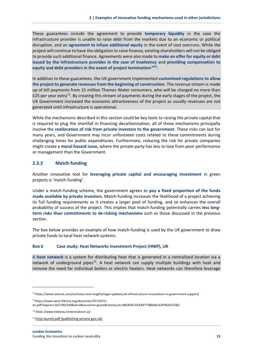These guarantees include the agreement to provide **temporary liquidity** in the case the infrastructure provider is unable to raise debt from the markets due to an economic or political disruption, and an **agreement to infuse additional equity** in the event of cost overruns. While the project will continue to have the obligation to raise finance, existing shareholders will not be obliged to provide such additional finance. Agreements were also made to **make an offer for equity or debt issued by the infrastructure provides in the case of insolvency** and **providing compensation to equity and debt providers in the event of project termination<sup>7071</sup> .** 

In addition to these guarantees, the UK government implemented **customised regulations to allow the project to generate revenues from the beginning of construction.** The revenue stream is made up of bill payments from 15 million Thames Water consumers, who will be charged no more than £25 per year extra<sup>72</sup>. By creating this stream of payments during the early stages of the project, the UK Government increased the economic attractiveness of the project as usually revenues are not generated until infrastructure is operational.

While the mechanisms described in this section could be key tools to raising the private capital that is required to plug the shortfall in financing decarbonisation, all of those mechanisms principally involve the **reallocation of risk from private investors to the government.** These risks can last for many years, and Government may incur unforeseen costs related to these commitments during challenging times for public expenditures. Furthermore, reducing the risk for private companies might create a **moral hazard issue,** where the private party has less to lose from poor performance or management than the Government.

#### **2.3.2 Match-funding**

Another innovative tool for **leveraging private capital and encouraging investment** in green projects is 'match-funding'.

Under a match-funding scheme, the government agrees to **pay a fixed proportion of the funds made available by private investors.** Match-funding increases the likelihood of a project achieving its full funding requirements as it creates a larger pool of funding, and so enhances the overall probability of success of the project. This implies that match-funding potentially carries **less longterm risks than commitments to de-risking mechanisms** such as those discussed in the previous section.

The box below provides an example of how match-funding is used by the UK government to draw private funds to local heat network systems.

#### <span id="page-18-0"></span>**Box 6 Case study: Heat Networks Investment Project (HNIP), UK**

A **heat network** is a system for distributing heat that is generated in a centralised location via a network of underground pipes<sup>73</sup>. A heat network can supply multiple buildings with heat and remove the need for individual boilers or electric heaters. Heat networks can therefore leverage

<sup>70</sup> https://www.ashurst.com/en/news-and-insights/legal-updates/uk-infrastructure-innovations-in-government-support/

<sup>71</sup>https://www.oecd-ilibrary.org/docserver/357c027e-

en.pdf?expires=1627381594&id=id&accname=guest&checksum=4824DFCD2AA977080AAC43F992A375B2

<sup>72</sup> https://www.tideway.london/about-us/

<sup>73</sup> [hnip-launch.pdf \(publishing.service.gov.uk\)](https://assets.publishing.service.gov.uk/government/uploads/system/uploads/attachment_data/file/748477/hnip-launch.pdf)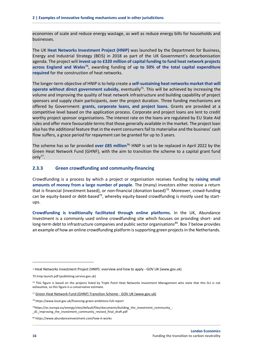economies of scale and reduce energy wastage, as well as reduce energy bills for households and businesses.

The UK **Heat Networks Investment Project (HNIP)** was launched by the Department for Business, Energy and Industrial Strategy (BEIS) in 2018 as part of the UK Government's decarbonisation agenda. The project will **invest up to £320 million of capital funding to fund heat network projects across England and Wales<sup>74</sup> ,** awarding funding of **up to 50% of the total capital expenditure required** for the construction of heat networks.

The longer-term objective of HNIP is to help create a **self-sustaining heat networks market that will operate without direct government subsidy,** eventually<sup>75</sup>. This will be achieved by increasing the volume and improving the quality of heat network infrastructure and building capability of project sponsors and supply chain participants, over the project duration. Three funding mechanisms are offered by Government: **grants, corporate loans, and project loans.** Grants are provided at a competitive level based on the application process. Corporate and project loans are lent to credit worthy project sponsor organisations. The interest rate on the loans are regulated by EU State Aid rules and offer more favourable terms that those generally available in the market. The project loan also has the additional feature that in the event consumers fail to materialise and the business' cash flow suffers, a grace period for repayment can be granted for up to 3 years.

The scheme has so far provided **over £85 million76.** HNIP is set to be replaced in April 2022 by the Green Heat Network Fund (GHNF), with the aim to transition the scheme to a capital grant fund only $77$ .

#### **2.3.3 Green crowdfunding and community-financing**

Crowdfunding is a process by which a project or organisation receives funding by **raising small amounts of money from a large number of people**. The (many) investors either receive a return that is financial (investment based), or non-financial (donation based)<sup>78</sup>. Moreover, crowd-funding can be equity-based or debt-based $7^9$ , whereby equity-based crowdfunding is mostly used by startups.

**Crowdfunding is traditionally facilitated through online platforms.** In the UK, Abundance Investment is a commonly used online crowdfunding site which focuses on providing short- and long-term debt to infrastructure companies and public sector organisations<sup>80</sup>. Box 7 below provides an example of how an online crowdfunding platform is supporting green projects in the Netherlands.

<sup>74</sup> [Heat Networks Investment Project \(HNIP\): overview and how to apply -](https://www.gov.uk/government/collections/heat-networks-investment-project-hnip-overview-and-how-to-apply) GOV.UK (www.gov.uk)

<sup>75</sup> [hnip-launch.pdf \(publishing.service.gov.uk\)](https://assets.publishing.service.gov.uk/government/uploads/system/uploads/attachment_data/file/748477/hnip-launch.pdf)

 $76$  This figure is based on the projects listed by Triple Point Heat Networks Investment Management who state that this list is not exhaustive, so this figure is a conservative estimate.

<sup>77</sup> [Green Heat Network Fund \(GHNF\) Transition Scheme -](https://www.gov.uk/government/publications/green-heat-network-fund-ghnf-transition-scheme?dm_i=6MG6,9MJI,1GCX5M,16418,1) GOV.UK (www.gov.uk)

<sup>78</sup> https://www.local.gov.uk/financing-green-ambitions-full-report

<sup>79</sup>https://ec.europa.eu/energy/sites/default/files/documents/building\_the\_investment\_community\_- \_d1\_improving\_the\_investment\_community\_revised\_final\_draft.pdf

<sup>80</sup> https://www.abundanceinvestment.com/how-it-works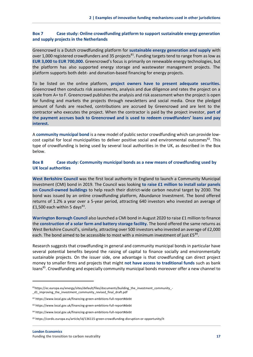#### <span id="page-20-0"></span>**Box 7 Case study: Online crowdfunding platform to support sustainable energy generation and supply projects in the Netherlands**

Greencrowd is a Dutch crowdfunding platform for **sustainable energy generation and supply** with over 1,000 registered crowdfunders and 35 projects<sup>81</sup>. Funding targets tend to range from as low as **EUR 3,000 to EUR 700,000.** Greencrowd's focus is primarily on renewable energy technologies, but the platform has also supported energy storage and wastewater management projects. The platform supports both debt- and donation-based financing for energy projects.

To be listed on the online platform, **project owners have to present adequate securities.** Greencrowd then conducts risk assessments, analysis and due diligence and rates the project on a scale from A+ to F. Greencrowd publishes the analysis and risk assessment when the project is open for funding and markets the projects through newsletters and social media. Once the pledged amount of funds are reached, contributions are accrued by Greencrowd and are lent to the contractor who executes the project. When the contractor is paid by the project investor, **part of the payment accrues back to Greencrowd and is used to redeem crowdfunders' loans and pay interest.** 

A **community municipal bond** is a new model of public sector crowdfunding which can provide lowcost capital for local municipalities to deliver positive social and environmental outcomes $^{82}$ . This type of crowdfunding is being used by several local authorities in the UK, as described in the Box below.

#### <span id="page-20-1"></span>**Box 8 Case study: Community municipal bonds as a new means of crowdfunding used by UK local authorities**

**West Berkshire Council** was the first local authority in England to launch a Community Municipal Investment (CMI) bond in 2019. The Council was looking **to raise £1 million to install solar panels on Council-owned buildings** to help reach their district-wide carbon neutral target by 2030. The bond was issued by an online crowdfunding platform, Abundance Investment. The bond offered returns of 1.2% a year over a 5-year period, attracting 640 investors who invested an average of £1,500 each within 5 days $^{83}$ .

**Warrington Borough Council** also launched a CMI bond in August 2020 to raise £1 million to finance the **construction of a solar farm and battery storage facility.** The bond offered the same returns as West Berkshire Council's, similarly, attracting over 500 investors who invested an average of £2,000 each. The bond aimed to be accessible to most with a minimum investment of just  $E5^{84}$ .

Research suggests that crowdfunding in general and community municipal bonds in particular have several potential benefits beyond the raising of capital to finance socially and environmentally sustainable projects. On the issuer side, one advantage is that crowdfunding can direct project money to smaller firms and projects that might **not have access to traditional funds** such as bank loans<sup>85</sup>. Crowdfunding and especially community municipal bonds moreover offer a new channel to

<sup>81</sup>https://ec.europa.eu/energy/sites/default/files/documents/building\_the\_investment\_community\_-

\_d1\_improving\_the\_investment\_community\_revised\_final\_draft.pdf

<sup>82</sup> https://www.local.gov.uk/financing-green-ambitions-full-report#debt

<sup>83</sup> https://www.local.gov.uk/financing-green-ambitions-full-report#debt

<sup>84</sup> https://www.local.gov.uk/financing-green-ambitions-full-report#debt

<sup>85</sup> https://cordis.europa.eu/article/id/136115-green-crowdfunding-disruption-or-opportunity/it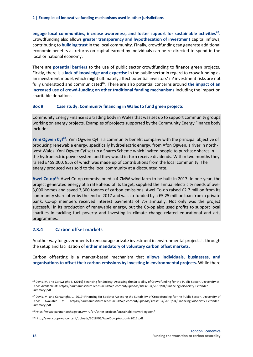**engage local communities, increase awareness, and foster support for sustainable activities<sup>86</sup> .** Crowdfunding also allows **greater transparency and hypothecation of investment** capital inflows, contributing to **building trust** in the local community. Finally, crowdfunding can generate additional economic benefits as returns on capital earned by individuals can be re-directed to spend in the local or national economy.

There are **potential barriers** to the use of public sector crowdfunding to finance green projects. Firstly, there is a **lack of knowledge and expertise** in the public sector in regard to crowdfunding as an investment model, which might ultimately affect potential investors' if? investment risks are not fully understood and communicated<sup>87</sup>. There are also potential concerns around the impact of an **increased use of crowd-funding on other traditional funding mechanisms** including the impact on charitable donations.

#### <span id="page-21-0"></span>**Box 9 Case study: Community financing in Wales to fund green projects**

Community Energy Finance is a trading body in Wales that was set up to support community groups working on energy projects. Examples of projects supported by the Community Energy Finance body include:

**Ynni Ogwen Cyf<sup>88</sup>:** Ynni Ogwen Cyf is a community benefit company with the principal objective of producing renewable energy, specifically hydroelectric energy, from Afon Ogwen, a river in northwest Wales. Ynni Ogwen Cyf set up a Shares Scheme which invited people to purchase shares in the hydroelectric power system and they would in turn receive dividends. Within two months they raised £459,000, 85% of which was made up of contributions from the local community. The energy produced was sold to the local community at a discounted rate.

**Awel Co-op<sup>89</sup>:** Awel Co-op commissioned a 4.7MW wind farm to be built in 2017. In one year, the project generated energy at a rate ahead of its target, supplied the annual electricity needs of over 3,000 homes and saved 3,300 tonnes of carbon emissions. Awel Co-op raised £2.7 million from its community share offer by the end of 2017 and was co-funded by a £5.25 million loan from a private bank. Co-op members received interest payments of 7% annually. Not only was the project successful in its production of renewable energy, but the Co-op also used profits to support local charities in tackling fuel poverty and investing in climate change-related educational and arts programmes.

#### **2.3.4 Carbon offset markets**

Another way for governments to encourage private investment in environmental projects is through the setup and facilitation of **either mandatory of voluntary carbon offset markets.**

Carbon offsetting is a market-based mechanism that **allows individuals, businesses, and organisations to offset their carbon emissions by investing in environmental projects.** While there

<sup>86</sup> Davis, M. and Cartwright, L. (2019) Financing for Society: Assessing the Suitability of Crowdfunding for the Public Sector. University of Leeds Available at: https://baumaninstitute.leeds.ac.uk/wp-content/uploads/sites/134/2019/04/FinancingForSociety-Extended-Summary.pdf

<sup>87</sup> Davis, M. and Cartwright, L. (2019) Financing for Society: Assessing the Suitability of Crowdfunding for the Public Sector. University of Leeds Available at: https://baumaninstitute.leeds.ac.uk/wp-content/uploads/sites/134/2019/04/FinancingForSociety-Extended-Summary.pdf

<sup>88</sup> https://www.partneriaethogwen.cymru/en/other-projects/sustainability/ynni-ogwen/

<sup>89</sup> http://awel.coop/wp-content/uploads/2018/06/AwelCo-opAccounts2017.pdf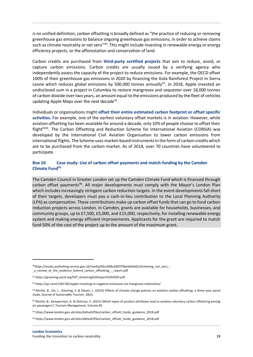is no unified definition, carbon offsetting is broadly defined as "the practice of reducing or removing greenhouse gas emissions to balance ongoing greenhouse gas emissions, in order to achieve claims such as climate neutrality or net zero"<sup>90</sup>. This might include investing in renewable energy or energy efficiency projects, or the afforestation and conservation of land.

Carbon credits are purchased from **third-party certified projects** that aim to reduce, avoid, or capture carbon emissions. Carbon credits are usually issued by a verifying agency who independently assess the capacity of the project to reduce emissions. For example, the OECD offset 100% of their greenhouse gas emissions in 2020 by financing the Gola Rainforest Project in Sierra Leone which reduces global emissions by 500,000 tonnes annually<sup>91</sup>. In 2018, Apple invested an undisclosed sum in a project in Columbia to restore mangroves and sequester over 18,000 tonnes of carbon dioxide over two years, an amount equal to the emissions produced by the fleet of vehicles updating Apple Maps over the next decade<sup>92</sup>.

Individuals or organisations might **offset their entire estimated carbon footprint or offset specific activities.** For example, one of the earliest voluntary offset markets is in aviation. However, while aviation offsetting has been available for around a decade, only 10% of people choose to offset their flight<sup>9394</sup>. The Carbon Offsetting and Reduction Scheme for International Aviation (CORSIA) was developed by the International Civil Aviation Organisation to lower carbon emissions from international flights. The Scheme uses market-based instruments in the form of carbon credits which are to be purchased from the carbon market. As of 2018, over 70 countries have volunteered to participate.

#### <span id="page-22-0"></span>**Box 10 Case study: Use of carbon offset payments and match-funding by the Camden Climate Fund<sup>95</sup>**

The Camden Council in Greater London set up the Camden Climate Fund which is financed through carbon offset payments<sup>96</sup>. All major developments must comply with the Mayor's London Plan which includes increasingly stringent carbon reduction targets. In the event developments fall short of their targets, developers must pay a cash-in-lieu contribution to the Local Planning Authority (LPA) as compensation. These contributions make up carbon offset funds that can go to fund carbon reduction projects across London. In Camden, grants are available for households, businesses, and community groups, up to £7,500, £5,000, and £15,000, respectively, for installing renewable energy system and making energy efficient improvements. Applicants for the grant are required to match fund 50% of the cost of the project up to the amount of the maximum grant.

<sup>90</sup>https://assets.publishing.service.gov.uk/media/60cc698cd3bf7f4bcb0efe02/Achieving\_net\_zero\_-\_a\_review\_of\_the\_evidence\_behind\_carbon\_offsetting\_-\_report.pdf

<sup>91</sup> https://greening.oecd.org/EXT\_Greening%20report%202020.pdf

<sup>92</sup> https://qz.com/1391782/apple-investing-in-negative-emissions-via-mangrove-restoration/

<sup>93</sup> Ritchie, B., Sie, L., Gössling, S. & Dwyer, L. (2019) Effects of climate change policies on aviation carbon offsetting: a three-year panel study, Journal of Sustainable Tourism, 28(2)

<sup>94</sup> Ritchie, B., Kemperman, A. & Dolnicar, S. (2021) Which types of product attributes lead to aviation voluntary carbon offsetting among air passengers?, Tourism Management, Volume 85

<sup>95</sup> https://www.london.gov.uk/sites/default/files/carbon\_offsett\_funds\_guidance\_2018.pdf

<sup>96</sup> https://www.london.gov.uk/sites/default/files/carbon\_offsett\_funds\_guidance\_2018.pdf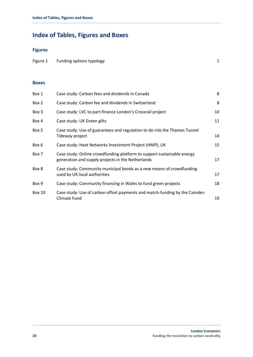# <span id="page-23-0"></span>**Index of Tables, Figures and Boxes**

## **Figures**

| Figure 1 Funding options typology |  |
|-----------------------------------|--|
|                                   |  |

#### **Boxes**

| Box 1         | Case study: Carbon fees and dividends in Canada                                                                             | 8  |
|---------------|-----------------------------------------------------------------------------------------------------------------------------|----|
| Box 2         | Case study: Carbon fee and dividends in Switzerland                                                                         | 8  |
| Box 3         | Case study: LVC to part-finance London's Crossrail project                                                                  | 10 |
| Box 4         | Case study: UK Green gilts                                                                                                  | 11 |
| Box 5         | Case study: Use of guarantees and regulation to de-risk the Thames Tunnel<br>Tideway project                                | 14 |
| Box 6         | Case study: Heat Networks Investment Project (HNIP), UK                                                                     | 15 |
| Box 7         | Case study: Online crowdfunding platform to support sustainable energy<br>generation and supply projects in the Netherlands | 17 |
| Box 8         | Case study: Community municipal bonds as a new means of crowdfunding<br>used by UK local authorities                        | 17 |
| Box 9         | Case study: Community financing in Wales to fund green projects                                                             | 18 |
| <b>Box 10</b> | Case study: Use of carbon offset payments and match-funding by the Camden<br>Climate Fund                                   | 19 |